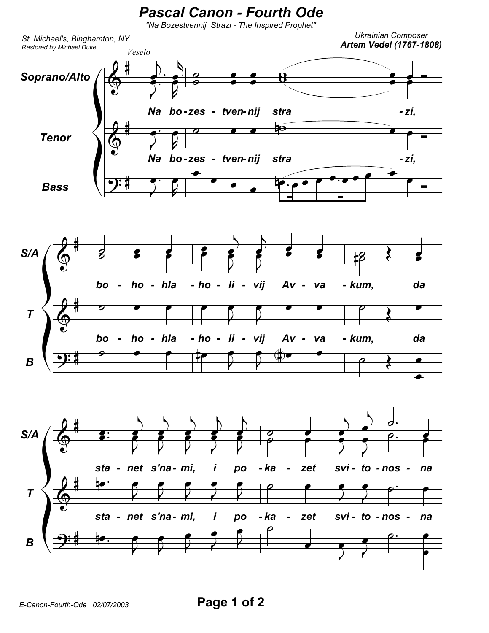